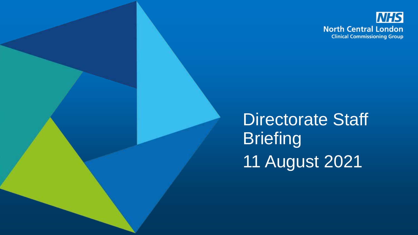

Directorate Staff **Briefing** 11 August 2021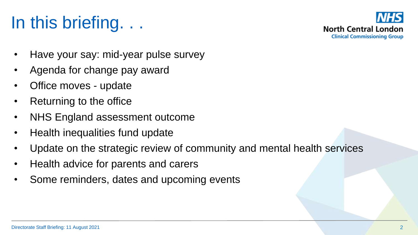# In this briefing. . .



- Have your say: mid-year pulse survey
- Agenda for change pay award
- Office moves update
- Returning to the office
- NHS England assessment outcome
- Health inequalities fund update
- Update on the strategic review of community and mental health services
- Health advice for parents and carers
- Some reminders, dates and upcoming events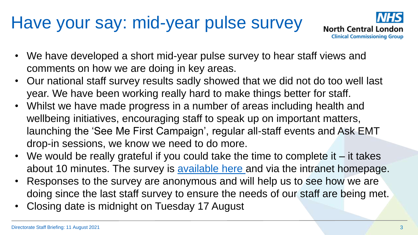## Have your say: mid-year pulse survey



- We have developed a short mid-year pulse survey to hear staff views and comments on how we are doing in key areas.
- Our national staff survey results sadly showed that we did not do too well last year. We have been working really hard to make things better for staff.
- Whilst we have made progress in a number of areas including health and wellbeing initiatives, encouraging staff to speak up on important matters, launching the 'See Me First Campaign', regular all-staff events and Ask EMT drop-in sessions, we know we need to do more.
- We would be really grateful if you could take the time to complete it it takes about 10 minutes. The survey is [available here](https://feedback.camdenccg.nhs.uk/north-central-london/322e5da8/) and via the intranet homepage.
- Responses to the survey are anonymous and will help us to see how we are doing since the last staff survey to ensure the needs of our staff are being met.
- Closing date is midnight on Tuesday 17 August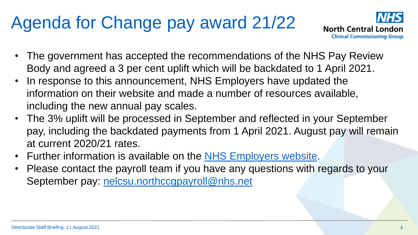# Agenda for Change pay award 21/22



- The government has accepted the recommendations of the NHS Pay Review Body and agreed a 3 per cent uplift which will be backdated to 1 April 2021.
- In response to this announcement, NHS Employers have updated the information on their website and made a number of resources available, including the new annual pay scales.
- The 3% uplift will be processed in September and reflected in your September pay, including the backdated payments from 1 April 2021. August pay will remain at current 2020/21 rates.
- Further information is available on the [NHS Employers website.](https://www.nhsemployers.org/news/202122-nhs-terms-and-conditions-service-pay-materials)
- Please contact the payroll team if you have any questions with regards to your September pay: [nelcsu.northccgpayroll@nhs.net](mailto:nelcsu.northccgpayroll@nhs.net)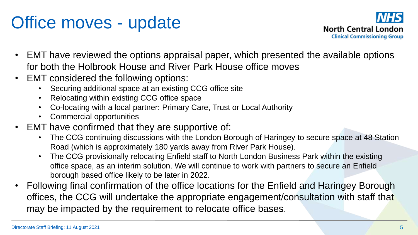# Office moves - update



- EMT have reviewed the options appraisal paper, which presented the available options for both the Holbrook House and River Park House office moves
- EMT considered the following options:
	- Securing additional space at an existing CCG office site
	- Relocating within existing CCG office space
	- Co-locating with a local partner: Primary Care, Trust or Local Authority
	- Commercial opportunities
- EMT have confirmed that they are supportive of:
	- The CCG continuing discussions with the London Borough of Haringey to secure space at 48 Station Road (which is approximately 180 yards away from River Park House).
	- The CCG provisionally relocating Enfield staff to North London Business Park within the existing office space, as an interim solution. We will continue to work with partners to secure an Enfield borough based office likely to be later in 2022.
- Following final confirmation of the office locations for the Enfield and Haringey Borough offices, the CCG will undertake the appropriate engagement/consultation with staff that may be impacted by the requirement to relocate office bases.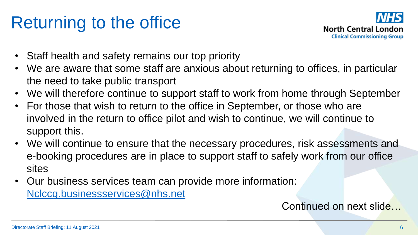## Returning to the office



- Staff health and safety remains our top priority
- We are aware that some staff are anxious about returning to offices, in particular the need to take public transport
- We will therefore continue to support staff to work from home through September
- For those that wish to return to the office in September, or those who are involved in the return to office pilot and wish to continue, we will continue to support this.
- We will continue to ensure that the necessary procedures, risk assessments and e-booking procedures are in place to support staff to safely work from our office sites
- Our business services team can provide more information: [Nclccg.businessservices@nhs.net](mailto:Nclccg.businessservices@nhs.net)

#### Continued on next slide…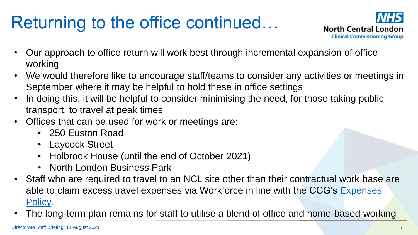# Returning to the office continued…



- Our approach to office return will work best through incremental expansion of office working
- We would therefore like to encourage staff/teams to consider any activities or meetings in September where it may be helpful to hold these in office settings
- In doing this, it will be helpful to consider minimising the need, for those taking public transport, to travel at peak times
- Offices that can be used for work or meetings are:
	- 250 Euston Road
	- Laycock Street
	- Holbrook House (until the end of October 2021)
	- North London Business Park
- Staff who are required to travel to an NCL site other than their contractual work base are [able to claim excess travel expenses via Workforce in line with the CCG's Expenses](https://intranet.northcentrallondonccg.nhs.uk/policies/Expenses%20Policy%20NCL.docx)  Policy.
- The long-term plan remains for staff to utilise a blend of office and home-based working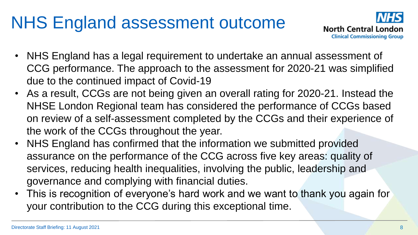# NHS England assessment outcome



- NHS England has a legal requirement to undertake an annual assessment of CCG performance. The approach to the assessment for 2020-21 was simplified due to the continued impact of Covid-19
- As a result, CCGs are not being given an overall rating for 2020-21. Instead the NHSE London Regional team has considered the performance of CCGs based on review of a self-assessment completed by the CCGs and their experience of the work of the CCGs throughout the year.
- NHS England has confirmed that the information we submitted provided assurance on the performance of the CCG across five key areas: quality of services, reducing health inequalities, involving the public, leadership and governance and complying with financial duties.
- This is recognition of everyone's hard work and we want to thank you again for your contribution to the CCG during this exceptional time.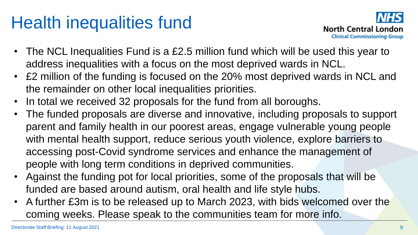## Health inequalities fund



- The NCL Inequalities Fund is a £2.5 million fund which will be used this year to address inequalities with a focus on the most deprived wards in NCL.
- £2 million of the funding is focused on the 20% most deprived wards in NCL and the remainder on other local inequalities priorities.
- In total we received 32 proposals for the fund from all boroughs.
- The funded proposals are diverse and innovative, including proposals to support parent and family health in our poorest areas, engage vulnerable young people with mental health support, reduce serious youth violence, explore barriers to accessing post-Covid syndrome services and enhance the management of people with long term conditions in deprived communities.
- Against the funding pot for local priorities, some of the proposals that will be funded are based around autism, oral health and life style hubs.
- A further £3m is to be released up to March 2023, with bids welcomed over the coming weeks. Please speak to the communities team for more info.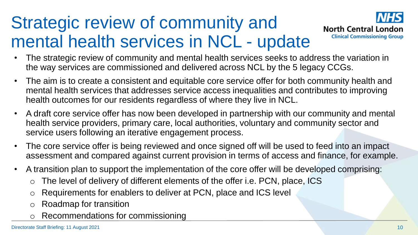# Strategic review of community and mental health services in NCL - update



- The strategic review of community and mental health services seeks to address the variation in the way services are commissioned and delivered across NCL by the 5 legacy CCGs.
- The aim is to create a consistent and equitable core service offer for both community health and mental health services that addresses service access inequalities and contributes to improving health outcomes for our residents regardless of where they live in NCL.
- A draft core service offer has now been developed in partnership with our community and mental health service providers, primary care, local authorities, voluntary and community sector and service users following an iterative engagement process.
- The core service offer is being reviewed and once signed off will be used to feed into an impact assessment and compared against current provision in terms of access and finance, for example.
- A transition plan to support the implementation of the core offer will be developed comprising:
	- The level of delivery of different elements of the offer i.e. PCN, place, ICS
	- o Requirements for enablers to deliver at PCN, place and ICS level
	- o Roadmap for transition
	- Recommendations for commissioning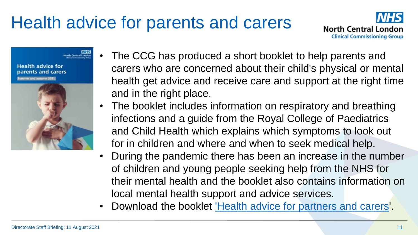# Health advice for parents and carers



**Health advice for** parents and carers



North Central London

- The CCG has produced a short booklet to help parents and carers who are concerned about their child's physical or mental health get advice and receive care and support at the right time and in the right place.
- The booklet includes information on respiratory and breathing infections and a guide from the Royal College of Paediatrics and Child Health which explains which symptoms to look out for in children and where and when to seek medical help.
- During the pandemic there has been an increase in the number of children and young people seeking help from the NHS for their mental health and the booklet also contains information on local mental health support and advice services.
- Download the booklet ['Health advice for partners and carers](https://camdenccgexternal.newsweaver.com/patientandpublicinvolvement/xhf1t6xqkhb5lxvdzh8qhk/external?a=6&p=7925857&t=454382)'.